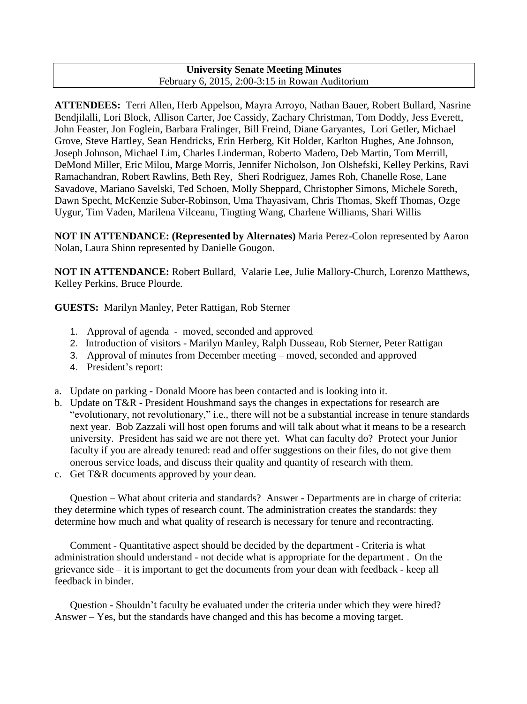## **University Senate Meeting Minutes** February 6, 2015, 2:00-3:15 in Rowan Auditorium

**ATTENDEES:** Terri Allen, Herb Appelson, Mayra Arroyo, Nathan Bauer, Robert Bullard, Nasrine Bendjilalli, Lori Block, Allison Carter, Joe Cassidy, Zachary Christman, Tom Doddy, Jess Everett, John Feaster, Jon Foglein, Barbara Fralinger, Bill Freind, Diane Garyantes, Lori Getler, Michael Grove, Steve Hartley, Sean Hendricks, Erin Herberg, Kit Holder, Karlton Hughes, Ane Johnson, Joseph Johnson, Michael Lim, Charles Linderman, Roberto Madero, Deb Martin, Tom Merrill, DeMond Miller, Eric Milou, Marge Morris, Jennifer Nicholson, Jon Olshefski, Kelley Perkins, Ravi Ramachandran, Robert Rawlins, Beth Rey, Sheri Rodriguez, James Roh, Chanelle Rose, Lane Savadove, Mariano Savelski, Ted Schoen, Molly Sheppard, Christopher Simons, Michele Soreth, Dawn Specht, McKenzie Suber-Robinson, Uma Thayasivam, Chris Thomas, Skeff Thomas, Ozge Uygur, Tim Vaden, Marilena Vilceanu, Tingting Wang, Charlene Williams, Shari Willis

**NOT IN ATTENDANCE: (Represented by Alternates)** Maria Perez-Colon represented by Aaron Nolan, Laura Shinn represented by Danielle Gougon.

**NOT IN ATTENDANCE:** Robert Bullard, Valarie Lee, Julie Mallory-Church, Lorenzo Matthews, Kelley Perkins, Bruce Plourde.

**GUESTS:** Marilyn Manley, Peter Rattigan, Rob Sterner

- 1. Approval of agenda moved, seconded and approved
- 2. Introduction of visitors Marilyn Manley, Ralph Dusseau, Rob Sterner, Peter Rattigan
- 3. Approval of minutes from December meeting moved, seconded and approved
- 4. President's report:
- a. Update on parking Donald Moore has been contacted and is looking into it.
- b. Update on T&R President Houshmand says the changes in expectations for research are "evolutionary, not revolutionary," i.e., there will not be a substantial increase in tenure standards next year. Bob Zazzali will host open forums and will talk about what it means to be a research university. President has said we are not there yet. What can faculty do? Protect your Junior faculty if you are already tenured: read and offer suggestions on their files, do not give them onerous service loads, and discuss their quality and quantity of research with them.
- c. Get T&R documents approved by your dean.

Question – What about criteria and standards? Answer - Departments are in charge of criteria: they determine which types of research count. The administration creates the standards: they determine how much and what quality of research is necessary for tenure and recontracting.

Comment - Quantitative aspect should be decided by the department - Criteria is what administration should understand - not decide what is appropriate for the department . On the grievance side – it is important to get the documents from your dean with feedback - keep all feedback in binder.

Question - Shouldn't faculty be evaluated under the criteria under which they were hired? Answer – Yes, but the standards have changed and this has become a moving target.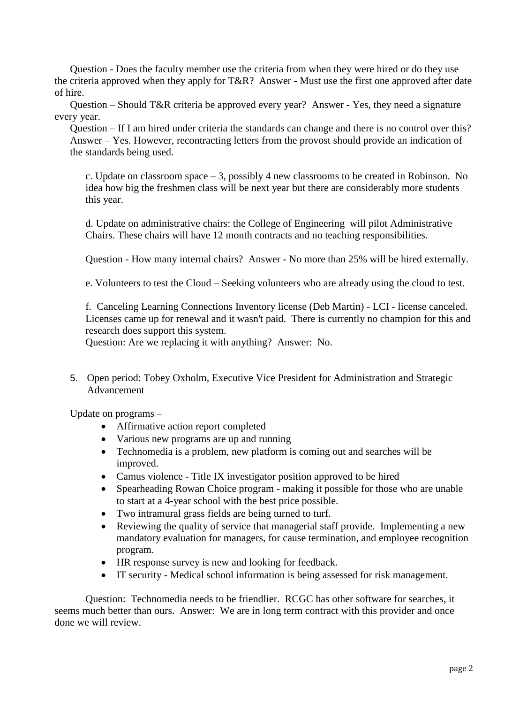Question - Does the faculty member use the criteria from when they were hired or do they use the criteria approved when they apply for T&R? Answer - Must use the first one approved after date of hire.

Question – Should T&R criteria be approved every year? Answer - Yes, they need a signature every year.

Question – If I am hired under criteria the standards can change and there is no control over this? Answer – Yes. However, recontracting letters from the provost should provide an indication of the standards being used.

c. Update on classroom space  $-3$ , possibly 4 new classrooms to be created in Robinson. No idea how big the freshmen class will be next year but there are considerably more students this year.

d. Update on administrative chairs: the College of Engineering will pilot Administrative Chairs. These chairs will have 12 month contracts and no teaching responsibilities.

Question - How many internal chairs? Answer - No more than 25% will be hired externally.

e. Volunteers to test the Cloud – Seeking volunteers who are already using the cloud to test.

f. Canceling Learning Connections Inventory license (Deb Martin) - LCI - license canceled. Licenses came up for renewal and it wasn't paid. There is currently no champion for this and research does support this system.

Question: Are we replacing it with anything? Answer: No.

5. Open period: Tobey Oxholm, Executive Vice President for Administration and Strategic Advancement

Update on programs –

- Affirmative action report completed
- Various new programs are up and running
- Technomedia is a problem, new platform is coming out and searches will be improved.
- Camus violence Title IX investigator position approved to be hired
- Spearheading Rowan Choice program making it possible for those who are unable to start at a 4-year school with the best price possible.
- Two intramural grass fields are being turned to turf.
- Reviewing the quality of service that managerial staff provide. Implementing a new mandatory evaluation for managers, for cause termination, and employee recognition program.
- HR response survey is new and looking for feedback.
- IT security Medical school information is being assessed for risk management.

Question: Technomedia needs to be friendlier. RCGC has other software for searches, it seems much better than ours. Answer: We are in long term contract with this provider and once done we will review.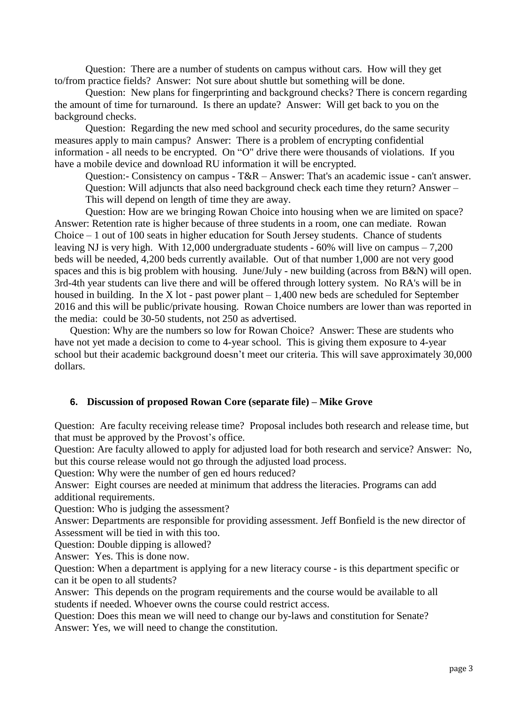Question: There are a number of students on campus without cars. How will they get to/from practice fields? Answer: Not sure about shuttle but something will be done.

Question: New plans for fingerprinting and background checks? There is concern regarding the amount of time for turnaround. Is there an update? Answer: Will get back to you on the background checks.

Question: Regarding the new med school and security procedures, do the same security measures apply to main campus? Answer: There is a problem of encrypting confidential information - all needs to be encrypted. On "O" drive there were thousands of violations. If you have a mobile device and download RU information it will be encrypted.

Question:- Consistency on campus - T&R – Answer: That's an academic issue - can't answer. Question: Will adjuncts that also need background check each time they return? Answer – This will depend on length of time they are away.

Question: How are we bringing Rowan Choice into housing when we are limited on space? Answer: Retention rate is higher because of three students in a room, one can mediate. Rowan Choice – 1 out of 100 seats in higher education for South Jersey students. Chance of students leaving NJ is very high. With 12,000 undergraduate students  $-60\%$  will live on campus  $-7,200$ beds will be needed, 4,200 beds currently available. Out of that number 1,000 are not very good spaces and this is big problem with housing. June/July - new building (across from B&N) will open. 3rd-4th year students can live there and will be offered through lottery system. No RA's will be in housed in building. In the X lot - past power plant  $-1,400$  new beds are scheduled for September 2016 and this will be public/private housing. Rowan Choice numbers are lower than was reported in the media: could be 30-50 students, not 250 as advertised.

Question: Why are the numbers so low for Rowan Choice? Answer: These are students who have not yet made a decision to come to 4-year school. This is giving them exposure to 4-year school but their academic background doesn't meet our criteria. This will save approximately 30,000 dollars.

# **6. Discussion of proposed Rowan Core (separate file) – Mike Grove**

Question: Are faculty receiving release time? Proposal includes both research and release time, but that must be approved by the Provost's office.

Question: Are faculty allowed to apply for adjusted load for both research and service? Answer: No, but this course release would not go through the adjusted load process.

Question: Why were the number of gen ed hours reduced?

Answer: Eight courses are needed at minimum that address the literacies. Programs can add additional requirements.

Question: Who is judging the assessment?

Answer: Departments are responsible for providing assessment. Jeff Bonfield is the new director of Assessment will be tied in with this too.

Question: Double dipping is allowed?

Answer: Yes. This is done now.

Question: When a department is applying for a new literacy course - is this department specific or can it be open to all students?

Answer: This depends on the program requirements and the course would be available to all students if needed. Whoever owns the course could restrict access.

Question: Does this mean we will need to change our by-laws and constitution for Senate? Answer: Yes, we will need to change the constitution.